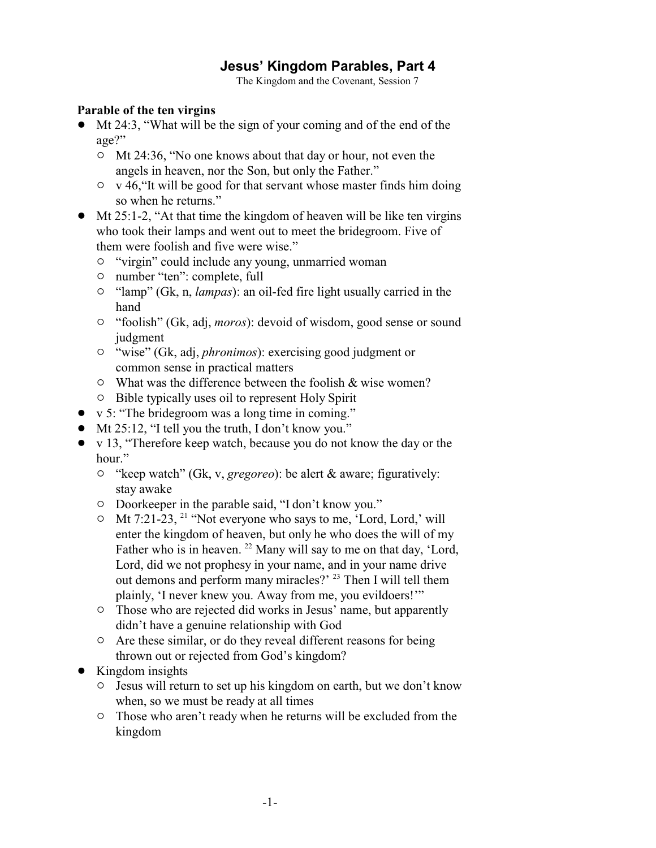# **Jesus' Kingdom Parables, Part 4**

The Kingdom and the Covenant, Session 7

### **Parable of the ten virgins**

- Mt 24:3, "What will be the sign of your coming and of the end of the age?"
	- <sup>o</sup> Mt 24:36, "No one knows about that day or hour, not even the angels in heaven, nor the Son, but only the Father."
	- $\circ$  v 46, "It will be good for that servant whose master finds him doing so when he returns."
- $\bullet$  Mt 25:1-2, "At that time the kingdom of heaven will be like ten virgins who took their lamps and went out to meet the bridegroom. Five of them were foolish and five were wise."
	- $\circ$  "virgin" could include any young, unmarried woman
	- $\circ$  number "ten": complete, full
	- <sup>o</sup> "lamp" (Gk, n, *lampas*): an oil-fed fire light usually carried in the hand
	- " "foolish" (Gk, adj, *moros*): devoid of wisdom, good sense or sound judgment
	- " "wise" (Gk, adj, *phronimos*): exercising good judgment or common sense in practical matters
	- $\circ$  What was the difference between the foolish & wise women?
	- $\circ$  Bible typically uses oil to represent Holy Spirit
- v 5: "The bridegroom was a long time in coming."
- $\bullet$  Mt 25:12, "I tell you the truth, I don't know you."
- v 13, "Therefore keep watch, because you do not know the day or the hour."
	- " "keep watch" (Gk, v, *gregoreo*): be alert & aware; figuratively: stay awake
	- <sup>o</sup> Doorkeeper in the parable said, "I don't know you."
	- $\circ$  Mt 7:21-23, <sup>21</sup> "Not everyone who says to me, 'Lord, Lord,' will enter the kingdom of heaven, but only he who does the will of my Father who is in heaven.  $22$  Many will say to me on that day, 'Lord, Lord, did we not prophesy in your name, and in your name drive out demons and perform many miracles?' <sup>23</sup> Then I will tell them plainly, 'I never knew you. Away from me, you evildoers!'"
	- <sup>o</sup> Those who are rejected did works in Jesus' name, but apparently didn't have a genuine relationship with God
	- $\circ$  Are these similar, or do they reveal different reasons for being thrown out or rejected from God's kingdom?
- Kingdom insights
	- $\circ$  Jesus will return to set up his kingdom on earth, but we don't know when, so we must be ready at all times
	- $\circ$  Those who aren't ready when he returns will be excluded from the kingdom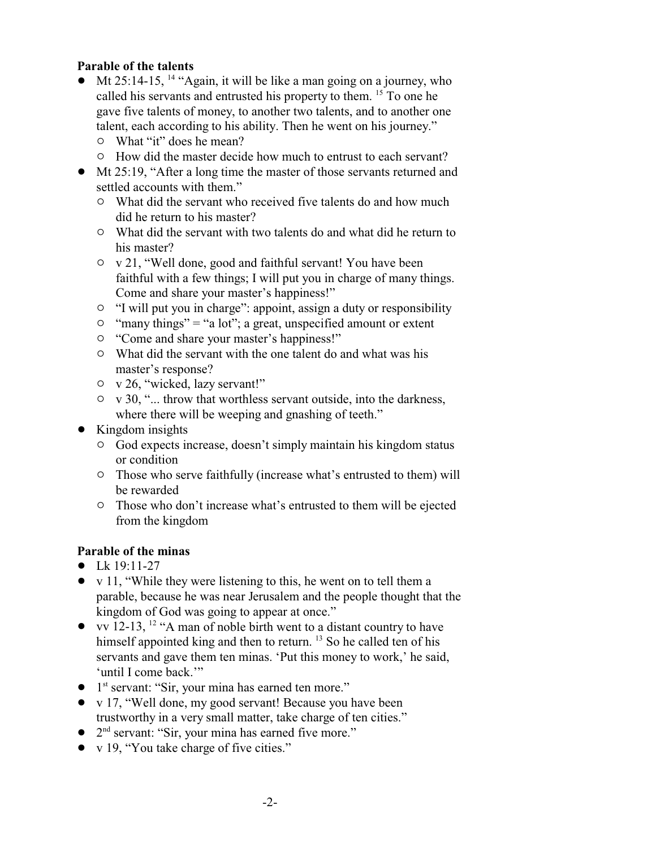### **Parable of the talents**

- $\bullet$  Mt 25:14-15, <sup>14</sup> "Again, it will be like a man going on a journey, who called his servants and entrusted his property to them. <sup>15</sup> To one he gave five talents of money, to another two talents, and to another one talent, each according to his ability. Then he went on his journey."
	- $\circ$  What "it" does he mean?
	- $\circ$  How did the master decide how much to entrust to each servant?
- ! Mt 25:19, "After a long time the master of those servants returned and settled accounts with them."
	- $\circ$  What did the servant who received five talents do and how much did he return to his master?
	- $\circ$  What did the servant with two talents do and what did he return to his master?
	- $\circ$  v 21, "Well done, good and faithful servant! You have been faithful with a few things; I will put you in charge of many things. Come and share your master's happiness!"
	- $\circ$  "I will put you in charge": appoint, assign a duty or responsibility
	- $\circ$  "many things" = "a lot"; a great, unspecified amount or extent
	- $\circ$  "Come and share your master's happiness!"
	- $\circ$  What did the servant with the one talent do and what was his master's response?
	- $\circ$  v 26, "wicked, lazy servant!"
	- $\circ$  v 30, "... throw that worthless servant outside, into the darkness, where there will be weeping and gnashing of teeth."
- Kingdom insights
	- $\circ$  God expects increase, doesn't simply maintain his kingdom status or condition
	- $\circ$  Those who serve faithfully (increase what's entrusted to them) will be rewarded
	- $\circ$  Those who don't increase what's entrusted to them will be ejected from the kingdom

### **Parable of the minas**

- $\bullet$  Lk 19:11-27
- $\bullet$  v 11, "While they were listening to this, he went on to tell them a parable, because he was near Jerusalem and the people thought that the kingdom of God was going to appear at once."
- vv 12-13, <sup>12</sup> "A man of noble birth went to a distant country to have himself appointed king and then to return. <sup>13</sup> So he called ten of his servants and gave them ten minas. 'Put this money to work,' he said, 'until I come back.""
- 1<sup>st</sup> servant: "Sir, your mina has earned ten more."
- v 17, "Well done, my good servant! Because you have been trustworthy in a very small matter, take charge of ten cities."
- $\bullet$  2<sup>nd</sup> servant: "Sir, your mina has earned five more."
- $\bullet$  v 19, "You take charge of five cities."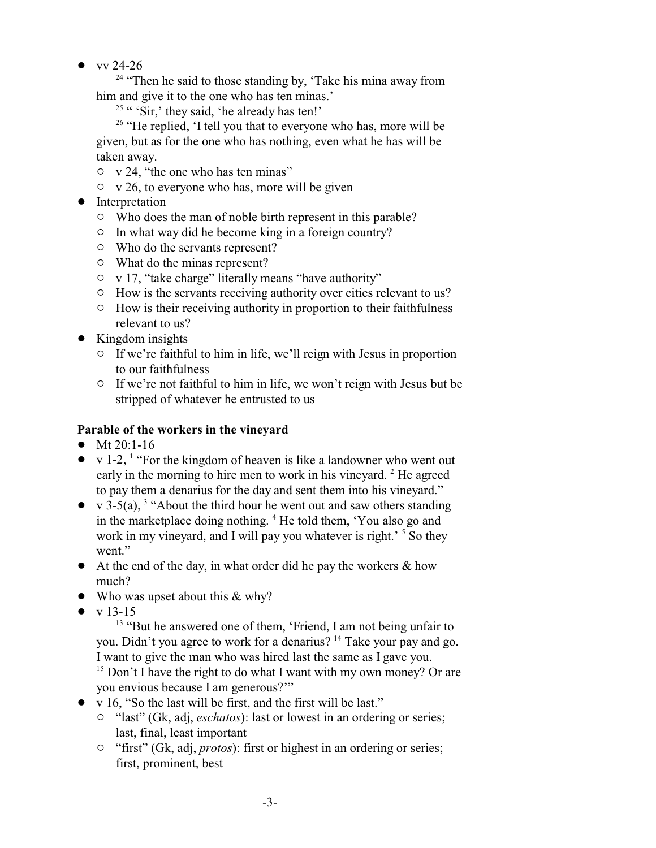$\bullet$  vv 24-26

<sup>24</sup> "Then he said to those standing by, 'Take his mina away from him and give it to the one who has ten minas.'

<sup>25</sup> " 'Sir,' they said, 'he already has ten!'

<sup>26</sup> "He replied, 'I tell you that to everyone who has, more will be given, but as for the one who has nothing, even what he has will be taken away.

- $\circ$  v 24, "the one who has ten minas"
- $\circ$  v 26, to everyone who has, more will be given
- Interpretation
	- $\circ$  Who does the man of noble birth represent in this parable?
	- $\circ$  In what way did he become king in a foreign country?
	- $\circ$  Who do the servants represent?
	- $\circ$  What do the minas represent?
	- $\circ$  v 17, "take charge" literally means "have authority"
	- $\circ$  How is the servants receiving authority over cities relevant to us?
	- $\circ$  How is their receiving authority in proportion to their faithfulness relevant to us?
- $\bullet$  Kingdom insights
	- $\circ$  If we're faithful to him in life, we'll reign with Jesus in proportion to our faithfulness
	- $\circ$  If we're not faithful to him in life, we won't reign with Jesus but be stripped of whatever he entrusted to us

## **Parable of the workers in the vineyard**

- $\bullet$  Mt 20:1-16
- v 1-2, <sup>1</sup> "For the kingdom of heaven is like a landowner who went out early in the morning to hire men to work in his vineyard.<sup>2</sup> He agreed to pay them a denarius for the day and sent them into his vineyard."
- v 3-5(a), <sup>3</sup> "About the third hour he went out and saw others standing in the marketplace doing nothing. <sup>4</sup> He told them, 'You also go and work in my vineyard, and I will pay you whatever is right.<sup>5</sup> So they went."
- $\bullet$  At the end of the day, in what order did he pay the workers & how much?
- $\bullet$  Who was upset about this & why?
- $\bullet$  v 13-15

<sup>13</sup> "But he answered one of them, 'Friend, I am not being unfair to you. Didn't you agree to work for a denarius?<sup>14</sup> Take your pay and go. I want to give the man who was hired last the same as I gave you.

<sup>15</sup> Don't I have the right to do what I want with my own money? Or are you envious because I am generous?'"

- v 16, "So the last will be first, and the first will be last."
	- <sup>o</sup> "last" (Gk, adj, *eschatos*): last or lowest in an ordering or series; last, final, least important
	- <sup>o</sup> "first" (Gk, adj, *protos*): first or highest in an ordering or series; first, prominent, best